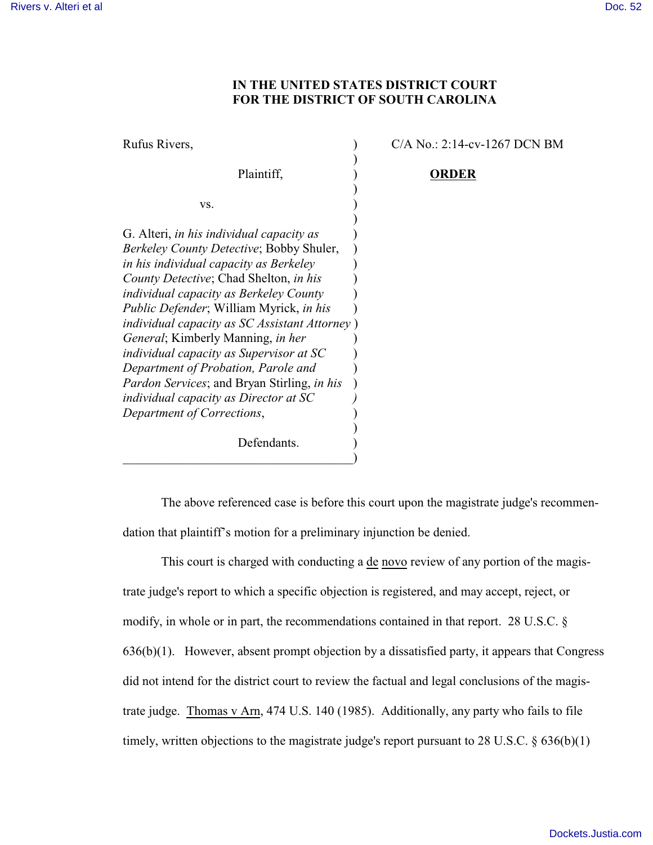## **IN THE UNITED STATES DISTRICT COURT FOR THE DISTRICT OF SOUTH CAROLINA**

Rufus Rivers,  $C/A No.: 2:14-cv-1267 DCN BM$ ) Plaintiff,  $\qquad \qquad$  **ORDER**  $)$  $\mathbf{v}\mathbf{s}$ .  $\qquad \qquad$  ) ) G. Alteri, *in his individual capacity as*  $\qquad)$ *Berkeley County Detective*; Bobby Shuler, ) *in his individual capacity as Berkeley*  $\qquad)$ *County Detective*; Chad Shelton, *in his* ) *individual capacity as Berkeley County*  $\qquad$ ) *Public Defender*; William Myrick, *in his* ) *individual capacity as SC Assistant Attorney* ) *General*; Kimberly Manning, *in her* ) *individual capacity as Supervisor at SC*  $\qquad)$ *Department of Probation, Parole and* ) *Pardon Services*; and Bryan Stirling, *in his* ) *individual capacity as Director at SC ) Department of Corrections*, ) Defendants.

 $\hspace{.5em}$   $\hspace{.5em}$   $\hspace{.5em}$   $\hspace{.5em}$   $\hspace{.5em}$   $\hspace{.5em}$   $\hspace{.5em}$   $\hspace{.5em}$   $\hspace{.5em}$   $\hspace{.5em}$   $\hspace{.5em}$   $\hspace{.5em}$   $\hspace{.5em}$   $\hspace{.5em}$   $\hspace{.5em}$   $\hspace{.5em}$   $\hspace{.5em}$   $\hspace{.5em}$   $\hspace{.5em}$   $\hspace{.5em}$ 

The above referenced case is before this court upon the magistrate judge's recommendation that plaintiff's motion for a preliminary injunction be denied.

This court is charged with conducting a de novo review of any portion of the magistrate judge's report to which a specific objection is registered, and may accept, reject, or modify, in whole or in part, the recommendations contained in that report. 28 U.S.C. §  $636(b)(1)$ . However, absent prompt objection by a dissatisfied party, it appears that Congress did not intend for the district court to review the factual and legal conclusions of the magistrate judge. Thomas v Arn, 474 U.S. 140 (1985). Additionally, any party who fails to file timely, written objections to the magistrate judge's report pursuant to 28 U.S.C.  $\S 636(b)(1)$